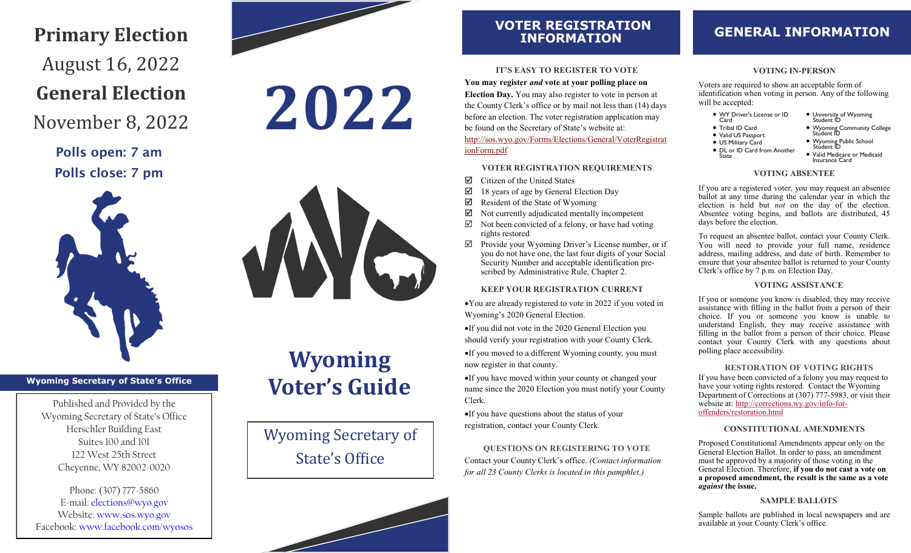# **Primary Election** August 16, 2022 **General Election**

November 8, 2022

Polls open: 7 am Polls close: 7 pm



# **2022**



### **Wyoming Secretary of State's Office**

Published and Provided by the Wyoming Secretary of State's Office Herschler Building East Suites 100 and 101 122 West 25th Street Cheyenne, WY 82002-0020

Phone: (307) 777-5860 E-mail: elections@wyo.gov Website: www.sos.wyo.gov Facebook: www.facebook.com/wyosos

# **Wyoming Voter's Guide**

Wyoming Secretary of State's Office

# **VOTER REGISTRATION**

### **IT'S EASY TO REGISTER TO VOTE**

**You may register** *and* **vote at your polling place on Election Day.** You may also register to vote in person at the County Clerk's office or by mail not less than (14) days before an election. The voter registration application may be found on the Secretary of State's website at: [http://sos.wyo.gov/Forms/Elections/General/VoterRegistrat](https://sos.wyo.gov/Forms/Elections/General/VoterRegistrationForm.pdf) [ionForm.pdf](https://sos.wyo.gov/Forms/Elections/General/VoterRegistrationForm.pdf) 

#### **VOTER REGISTRATION REQUIREMENTS**

- Citizen of the United States
- $\boxtimes$  18 years of age by General Election Day
- $\boxtimes$  Resident of the State of Wyoming
- $\boxtimes$  Not currently adjudicated mentally incompetent
- $\boxtimes$  Not been convicted of a felony, or have had voting rights restored
- $\boxtimes$  Provide your Wyoming Driver's License number, or if you do not have one, the last four digits of your Social Security Number and acceptable identification prescribed by Administrative Rule, Chapter 2.

#### **KEEP YOUR REGISTRATION CURRENT**

•You are already registered to vote in 2022 if you voted in Wyoming's 2020 General Election.

•If you did not vote in the 2020 General Election you should verify your registration with your County Clerk. •If you moved to a different Wyoming county, you must now register in that county.

•If you have moved within your county or changed your name since the 2020 Election you must notify your County Clerk.

•If you have questions about the status of your registration, contact your County Clerk.

**QUESTIONS ON REGISTERING TO VOTE** Contact your County Clerk's office. *(Contact information for all 23 County Clerks is located in this pamphlet.)*

## **INFORMATION GENERAL INFORMATION**

#### **VOTING IN-PERSON**

Voters are required to show an acceptable form of identification when voting in person. Any of the following will be accepted:

• WY Driver's License or ID Card • Tribal ID Card • Valid US Passport • US Military Card • DL or ID Card from Another State • University of Wyoming Student ID • Wyoming Community College Student ID • Wyoming Public School Student ID • Valid Medicare or Medicaid Insurance Card

#### **VOTING ABSENTEE**

If you are a registered voter, you may request an absentee ballot at any time during the calendar year in which the election is held but *not* on the day of the election. Absentee voting begins, and ballots are distributed, 45 days before the election.

To request an absentee ballot, contact your County Clerk. You will need to provide your full name, residence address, mailing address, and date of birth. Remember to ensure that your absentee ballot is returned to your County Clerk's office by 7 p.m. on Election Day.

#### **VOTING ASSISTANCE**

If you or someone you know is disabled, they may receive assistance with filling in the ballot from a person of their choice. If you or someone you know is unable to understand English, they may receive assistance with filling in the ballot from a person of their choice. Please contact your County Clerk with any questions about polling place accessibility.

#### **RESTORATION OF VOTING RIGHTS**

If you have been convicted of a felony you may request to have your voting rights restored. Contact the Wyoming Department of Corrections at (307) 777-5983, or visit their website at: http://[corrections.wy.gov/info](http://corrections.wy.gov/info-for-offenders/restoration.html)-for[offenders/restoration.html](http://corrections.wy.gov/info-for-offenders/restoration.html)

#### **CONSTITUTIONAL AMENDMENTS**

Proposed Constitutional Amendments appear only on the General Election Ballot. In order to pass, an amendment must be approved by a majority of those voting in the General Election. Therefore, **if you do not cast a vote on a proposed amendment, the result is the same as a vote**  *against* **the issue.**

#### **SAMPLE BALLOTS**

Sample ballots are published in local newspapers and are available at your County Clerk's office.